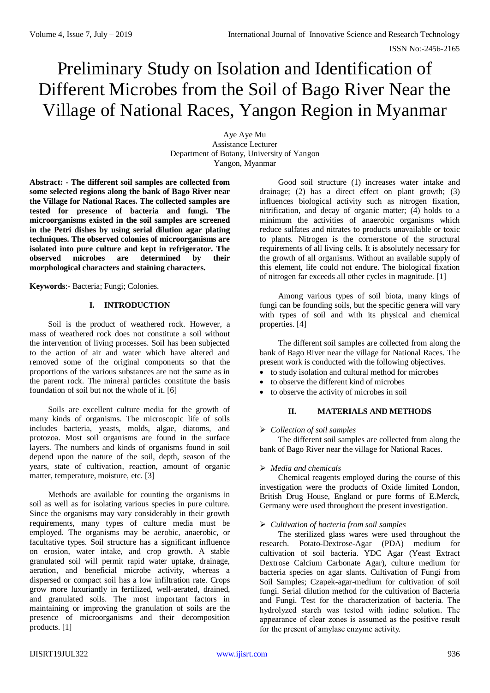# Preliminary Study on Isolation and Identification of Different Microbes from the Soil of Bago River Near the Village of National Races, Yangon Region in Myanmar

Aye Aye Mu Assistance Lecturer Department of Botany, University of Yangon Yangon, Myanmar

**Abstract: - The different soil samples are collected from some selected regions along the bank of Bago River near the Village for National Races. The collected samples are tested for presence of bacteria and fungi. The microorganisms existed in the soil samples are screened in the Petri dishes by using serial dilution agar plating techniques. The observed colonies of microorganisms are isolated into pure culture and kept in refrigerator. The observed microbes are determined by their morphological characters and staining characters.**

**Keywords**:- Bacteria; Fungi; Colonies.

# **I. INTRODUCTION**

Soil is the product of weathered rock. However, a mass of weathered rock does not constitute a soil without the intervention of living processes. Soil has been subjected to the action of air and water which have altered and removed some of the original components so that the proportions of the various substances are not the same as in the parent rock. The mineral particles constitute the basis foundation of soil but not the whole of it. [6]

Soils are excellent culture media for the growth of many kinds of organisms. The microscopic life of soils includes bacteria, yeasts, molds, algae, diatoms, and protozoa. Most soil organisms are found in the surface layers. The numbers and kinds of organisms found in soil depend upon the nature of the soil, depth, season of the years, state of cultivation, reaction, amount of organic matter, temperature, moisture, etc. [3]

Methods are available for counting the organisms in soil as well as for isolating various species in pure culture. Since the organisms may vary considerably in their growth requirements, many types of culture media must be employed. The organisms may be aerobic, anaerobic, or facultative types. Soil structure has a significant influence on erosion, water intake, and crop growth. A stable granulated soil will permit rapid water uptake, drainage, aeration, and beneficial microbe activity, whereas a dispersed or compact soil has a low infiltration rate. Crops grow more luxuriantly in fertilized, well-aerated, drained, and granulated soils. The most important factors in maintaining or improving the granulation of soils are the presence of microorganisms and their decomposition products. [1]

Good soil structure (1) increases water intake and drainage; (2) has a direct effect on plant growth; (3) influences biological activity such as nitrogen fixation, nitrification, and decay of organic matter; (4) holds to a minimum the activities of anaerobic organisms which reduce sulfates and nitrates to products unavailable or toxic to plants. Nitrogen is the cornerstone of the structural requirements of all living cells. It is absolutely necessary for the growth of all organisms. Without an available supply of this element, life could not endure. The biological fixation of nitrogen far exceeds all other cycles in magnitude. [1]

Among various types of soil biota, many kings of fungi can be founding soils, but the specific genera will vary with types of soil and with its physical and chemical properties. [4]

The different soil samples are collected from along the bank of Bago River near the village for National Races. The present work is conducted with the following objectives.

- to study isolation and cultural method for microbes
- to observe the different kind of microbes
- to observe the activity of microbes in soil

# **II. MATERIALS AND METHODS**

# *Collection of soil samples*

The different soil samples are collected from along the bank of Bago River near the village for National Races.

#### *Media and chemicals*

Chemical reagents employed during the course of this investigation were the products of Oxide limited London, British Drug House, England or pure forms of E.Merck, Germany were used throughout the present investigation.

#### *Cultivation of bacteria from soil samples*

The sterilized glass wares were used throughout the research. Potato-Dextrose-Agar (PDA) medium for cultivation of soil bacteria. YDC Agar (Yeast Extract Dextrose Calcium Carbonate Agar), culture medium for bacteria species on agar slants. Cultivation of Fungi from Soil Samples; Czapek-agar-medium for cultivation of soil fungi. Serial dilution method for the cultivation of Bacteria and Fungi. Test for the characterization of bacteria. The hydrolyzed starch was tested with iodine solution. The appearance of clear zones is assumed as the positive result for the present of amylase enzyme activity.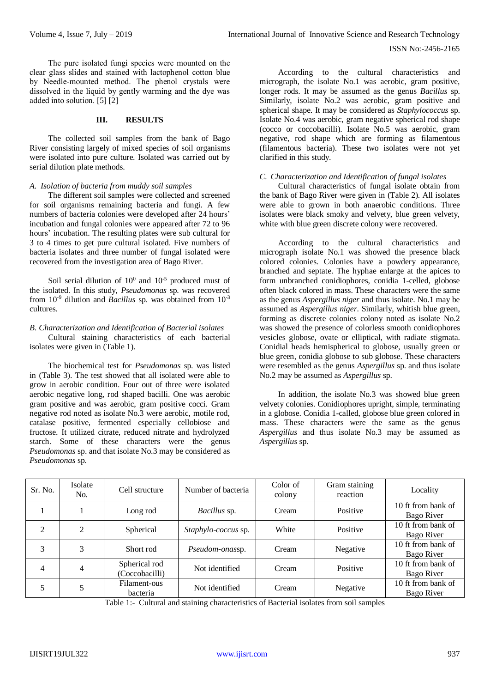The pure isolated fungi species were mounted on the clear glass slides and stained with lactophenol cotton blue by Needle-mounted method. The phenol crystals were dissolved in the liquid by gently warming and the dye was added into solution. [5] [2]

### **III. RESULTS**

The collected soil samples from the bank of Bago River consisting largely of mixed species of soil organisms were isolated into pure culture. Isolated was carried out by serial dilution plate methods.

## *A. Isolation of bacteria from muddy soil samples*

The different soil samples were collected and screened for soil organisms remaining bacteria and fungi. A few numbers of bacteria colonies were developed after 24 hours' incubation and fungal colonies were appeared after 72 to 96 hours' incubation. The resulting plates were sub cultural for 3 to 4 times to get pure cultural isolated. Five numbers of bacteria isolates and three number of fungal isolated were recovered from the investigation area of Bago River.

Soil serial dilution of  $10^0$  and  $10^{-5}$  produced must of the isolated. In this study, *Pseudomonas* sp. was recovered from 10-9 dilution and *Bacillus* sp. was obtained from 10-3 cultures.

## *B. Characterization and Identification of Bacterial isolates*

Cultural staining characteristics of each bacterial isolates were given in (Table 1).

The biochemical test for *Pseudomonas* sp. was listed in (Table 3). The test showed that all isolated were able to grow in aerobic condition. Four out of three were isolated aerobic negative long, rod shaped bacilli. One was aerobic gram positive and was aerobic, gram positive cocci. Gram negative rod noted as isolate No.3 were aerobic, motile rod, catalase positive, fermented especially cellobiose and fructose. It utilized citrate, reduced nitrate and hydrolyzed starch. Some of these characters were the genus *Pseudomonas* sp. and that isolate No.3 may be considered as *Pseudomonas* sp.

According to the cultural characteristics and micrograph, the isolate No.1 was aerobic, gram positive, longer rods. It may be assumed as the genus *Bacillus* sp. Similarly, isolate No.2 was aerobic, gram positive and spherical shape. It may be considered as *Staphylococcus* sp. Isolate No.4 was aerobic, gram negative spherical rod shape (cocco or coccobacilli). Isolate No.5 was aerobic, gram negative, rod shape which are forming as filamentous (filamentous bacteria). These two isolates were not yet clarified in this study.

### *C. Characterization and Identification of fungal isolates*

Cultural characteristics of fungal isolate obtain from the bank of Bago River were given in (Table 2). All isolates were able to grown in both anaerobic conditions. Three isolates were black smoky and velvety, blue green velvety, white with blue green discrete colony were recovered.

According to the cultural characteristics and micrograph isolate No.1 was showed the presence black colored colonies. Colonies have a powdery appearance, branched and septate. The hyphae enlarge at the apices to form unbranched conidiophores, conidia 1-celled, globose often black colored in mass. These characters were the same as the genus *Aspergillus niger* and thus isolate. No.1 may be assumed as *Aspergillus niger*. Similarly, whitish blue green, forming as discrete colonies colony noted as isolate No.2 was showed the presence of colorless smooth conidiophores vesicles globose, ovate or elliptical, with radiate stigmata. Conidial heads hemispherical to globose, usually green or blue green, conidia globose to sub globose. These characters were resembled as the genus *Aspergillus* sp. and thus isolate No.2 may be assumed as *Aspergillus* sp.

In addition, the isolate No.3 was showed blue green velvety colonies. Conidiophores upright, simple, terminating in a globose. Conidia 1-called, globose blue green colored in mass. These characters were the same as the genus *Aspergillus* and thus isolate No.3 may be assumed as *Aspergillus* sp.

| Sr. No. | Isolate<br>No. | Cell structure                  | Number of bacteria    | Color of<br>colony | Gram staining<br>reaction | Locality                         |
|---------|----------------|---------------------------------|-----------------------|--------------------|---------------------------|----------------------------------|
|         |                | Long rod                        | Bacillus sp.<br>Cream |                    | Positive                  | 10 ft from bank of<br>Bago River |
| 2       | $\mathfrak{D}$ | Spherical                       | Staphylo-coccus sp.   | White              | Positive                  | 10 ft from bank of<br>Bago River |
| 3       | 3              | Short rod                       | Pseudom-onassp.       | Cream              | Negative                  | 10 ft from bank of<br>Bago River |
| 4       | 4              | Spherical rod<br>(Coccobacilli) | Not identified        | Cream              | Positive                  | 10 ft from bank of<br>Bago River |
| 5       |                | Filament-ous<br>bacteria        | Not identified        | Cream              | Negative                  | 10 ft from bank of<br>Bago River |

Table 1:- Cultural and staining characteristics of Bacterial isolates from soil samples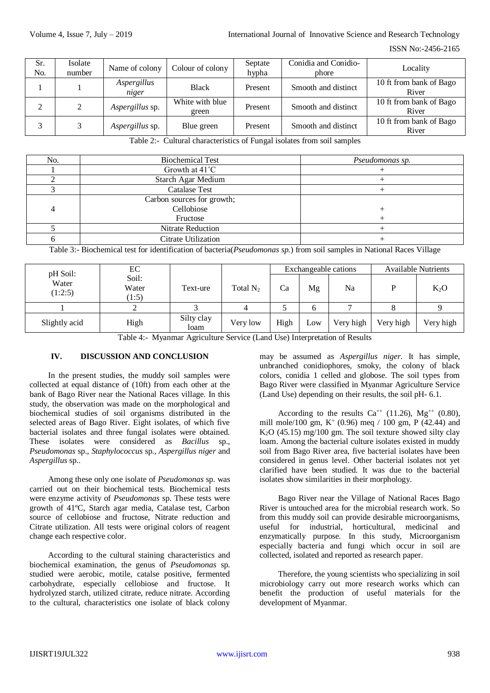| Sr.<br>No. | Isolate<br>number | Name of colony         | Colour of colony         | Septate<br>hypha | Conidia and Conidio-<br>phore | Locality                         |
|------------|-------------------|------------------------|--------------------------|------------------|-------------------------------|----------------------------------|
|            |                   | Aspergillus<br>niger   | <b>Black</b>             | Present          | Smooth and distinct           | 10 ft from bank of Bago<br>River |
| 2          | 2                 | Aspergillus sp.        | White with blue<br>green | Present          | Smooth and distinct           | 10 ft from bank of Bago<br>River |
|            |                   | <i>Aspergillus</i> sp. | Blue green               | Present          | Smooth and distinct           | 10 ft from bank of Bago<br>River |

Table 2:- Cultural characteristics of Fungal isolates from soil samples

| No. | <b>Biochemical Test</b>    | Pseudomonas sp. |
|-----|----------------------------|-----------------|
|     | Growth at 41°C             |                 |
|     | Starch Agar Medium         |                 |
|     | <b>Catalase Test</b>       |                 |
|     | Carbon sources for growth; |                 |
|     | Cellobiose                 |                 |
|     | Fructose                   |                 |
|     | Nitrate Reduction          |                 |
|     | Citrate Utilization        |                 |

Table 3:- Biochemical test for identification of bacteria(*Pseudomonas sp.*) from soil samples in National Races Village

| pH Soil:         | EC                      |                    |             | Exchangeable cations |     |           | <b>Available Nutrients</b> |           |
|------------------|-------------------------|--------------------|-------------|----------------------|-----|-----------|----------------------------|-----------|
| Water<br>(1:2:5) | Soil:<br>Water<br>(1:5) | Text-ure           | Total $N_2$ | Ca                   | Mg  | Na        |                            | $K_2O$    |
|                  |                         |                    |             |                      |     |           |                            |           |
| Slightly acid    | High                    | Silty clay<br>loam | Very low    | High                 | Low | Very high | Very high                  | Very high |

Table 4:- Myanmar Agriculture Service (Land Use) Interpretation of Results

# **IV. DISCUSSION AND CONCLUSION**

In the present studies, the muddy soil samples were collected at equal distance of (10ft) from each other at the bank of Bago River near the National Races village. In this study, the observation was made on the morphological and biochemical studies of soil organisms distributed in the selected areas of Bago River. Eight isolates, of which five bacterial isolates and three fungal isolates were obtained. These isolates were considered as *Bacillus* sp., *Pseudomonas* sp., *Staphylococcus* sp., *Aspergillus niger* and *Aspergillus* sp..

Among these only one isolate of *Pseudomonas* sp. was carried out on their biochemical tests. Biochemical tests were enzyme activity of *Pseudomonas* sp. These tests were growth of 41ºC, Starch agar media, Catalase test, Carbon source of cellobiose and fructose, Nitrate reduction and Citrate utilization. All tests were original colors of reagent change each respective color.

According to the cultural staining characteristics and biochemical examination, the genus of *Pseudomonas* sp. studied were aerobic, motile, catalse positive, fermented carbohydrate, especially cellobiose and fructose. It hydrolyzed starch, utilized citrate, reduce nitrate. According to the cultural, characteristics one isolate of black colony may be assumed as *Aspergillus niger*. It has simple, unbranched conidiophores, smoky, the colony of black colors, conidia 1 celled and globose. The soil types from Bago River were classified in Myanmar Agriculture Service (Land Use) depending on their results, the soil pH- 6.1.

According to the results  $Ca^{++}$  (11.26), Mg<sup>++</sup> (0.80), mill mole/100 gm,  $K^+$  (0.96) meq / 100 gm, P (42.44) and  $K<sub>2</sub>O$  (45.15) mg/100 gm. The soil texture showed silty clay loam. Among the bacterial culture isolates existed in muddy soil from Bago River area, five bacterial isolates have been considered in genus level. Other bacterial isolates not yet clarified have been studied. It was due to the bacterial isolates show similarities in their morphology.

Bago River near the Village of National Races Bago River is untouched area for the microbial research work. So from this muddy soil can provide desirable microorganisms, useful for industrial, horticultural, medicinal and enzymatically purpose. In this study, Microorganism especially bacteria and fungi which occur in soil are collected, isolated and reported as research paper.

Therefore, the young scientists who specializing in soil microbiology carry out more research works which can benefit the production of useful materials for the development of Myanmar.